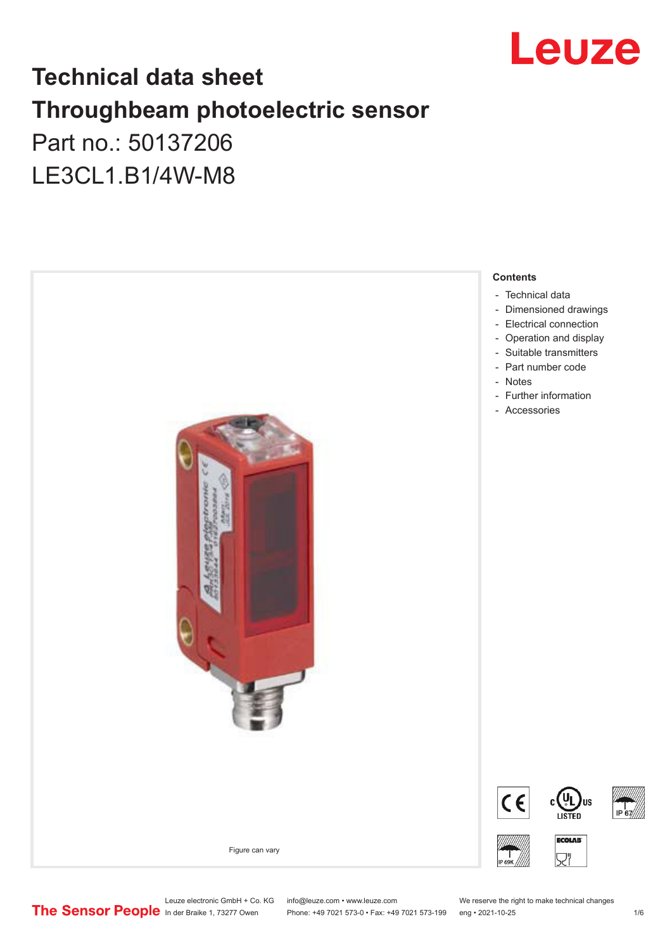

## **Technical data sheet Throughbeam photoelectric sensor**  Part no.: 50137206 LE3CL1.B1/4W-M8



Leuze electronic GmbH + Co. KG info@leuze.com • www.leuze.com We reserve the right to make technical changes<br>
The Sensor People in der Braike 1, 73277 Owen Phone: +49 7021 573-0 • Fax: +49 7021 573-199 eng • 2021-10-25

Phone: +49 7021 573-0 • Fax: +49 7021 573-199 eng • 2021-10-25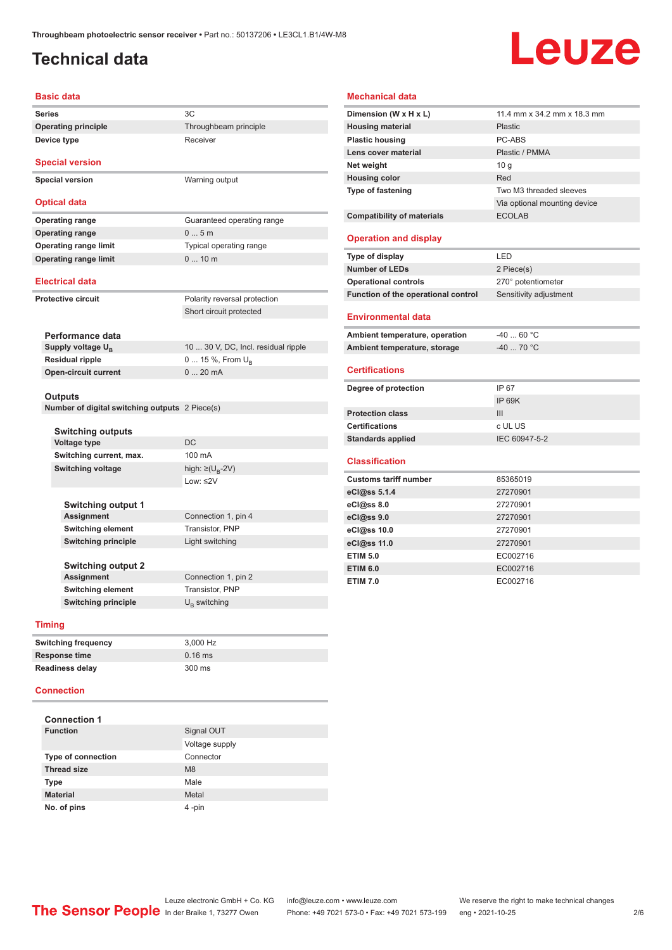## <span id="page-1-0"></span>**Technical data**

**Device type** Receiver

# Leuze

#### **Basic data**

**Series** 3C **Operating principle** Throughbeam principle

**Special version**

**Special version** Warning output

### **Optical data**

**Operating range** Guaranteed operating range **Operating range** 0 ... 5 m **Operating range limit** Typical operating range **Operating range limit** 0 ... 10 m

### **Electrical data**

**Protective circuit** Polarity reversal protection

|                               | Short circuit protected             |
|-------------------------------|-------------------------------------|
|                               |                                     |
| Performance data              |                                     |
| Supply voltage U <sub>p</sub> | 10  30 V, DC, Incl. residual ripple |
| <b>Residual ripple</b>        | 0  15 %, From $U_{\rm B}$           |

#### **Outputs**

**Number of digital switching outputs** 2 Piece(s)

**Open-circuit current** 0 ... 20 mA

| <b>Switching outputs</b>   |                                   |
|----------------------------|-----------------------------------|
| <b>Voltage type</b>        | DC.                               |
| Switching current, max.    | 100 mA                            |
| <b>Switching voltage</b>   | high: $\geq$ (U <sub>p</sub> -2V) |
|                            | $1$ nw: $\leq$ 2V                 |
|                            |                                   |
| <b>Switching output 1</b>  |                                   |
| <b>Assignment</b>          | Connection 1, pin 4               |
| <b>Switching element</b>   | Transistor, PNP                   |
| <b>Switching principle</b> | Light switching                   |
|                            |                                   |
| <b>Switching output 2</b>  |                                   |
| <b>Assignment</b>          | Connection 1, pin 2               |
| <b>Switching element</b>   | Transistor, PNP                   |
| <b>Switching principle</b> | $U_{\rm B}$ switching             |

### **Timing**

| <b>Switching frequency</b> | 3.000 Hz  |
|----------------------------|-----------|
| Response time              | $0.16$ ms |
| Readiness delay            | 300 ms    |

### **Connection**

| <b>Connection 1</b>       |                |
|---------------------------|----------------|
| <b>Function</b>           | Signal OUT     |
|                           | Voltage supply |
| <b>Type of connection</b> | Connector      |
| <b>Thread size</b>        | M <sub>8</sub> |
| <b>Type</b>               | Male           |
| <b>Material</b>           | Metal          |
| No. of pins               | 4-pin          |

### **Mechanical data**

| Dimension (W x H x L)               | 11.4 mm x 34.2 mm x 18.3 mm  |
|-------------------------------------|------------------------------|
| <b>Housing material</b>             | <b>Plastic</b>               |
| <b>Plastic housing</b>              | PC-ABS                       |
| Lens cover material                 | Plastic / PMMA               |
| Net weight                          | 10q                          |
| <b>Housing color</b>                | Red                          |
| <b>Type of fastening</b>            | Two M3 threaded sleeves      |
|                                     | Via optional mounting device |
| <b>Compatibility of materials</b>   | <b>ECOLAB</b>                |
| <b>Operation and display</b>        |                              |
| Type of display                     | LED                          |
| <b>Number of LEDs</b>               | 2 Piece(s)                   |
| <b>Operational controls</b>         | 270° potentiometer           |
| Function of the operational control | Sensitivity adjustment       |
| <b>Environmental data</b>           |                              |
| Ambient temperature, operation      | $-4060 °C$                   |
|                                     |                              |
| Ambient temperature, storage        | $-40$ 70 °C                  |
| <b>Certifications</b>               |                              |
| Degree of protection                | IP 67                        |
|                                     | <b>IP 69K</b>                |
| <b>Protection class</b>             | Ш                            |
| <b>Certifications</b>               | c UL US                      |
| <b>Standards applied</b>            | IEC 60947-5-2                |
| <b>Classification</b>               |                              |
| <b>Customs tariff number</b>        | 85365019                     |
| eCl@ss 5.1.4                        | 27270901                     |
| eCl@ss 8.0                          | 27270901                     |
| eCl@ss 9.0                          | 27270901                     |
| eCl@ss 10.0                         | 27270901                     |
| eCl@ss 11.0                         | 27270901                     |
| <b>ETIM 5.0</b>                     | EC002716                     |
| <b>ETIM 6.0</b>                     | EC002716                     |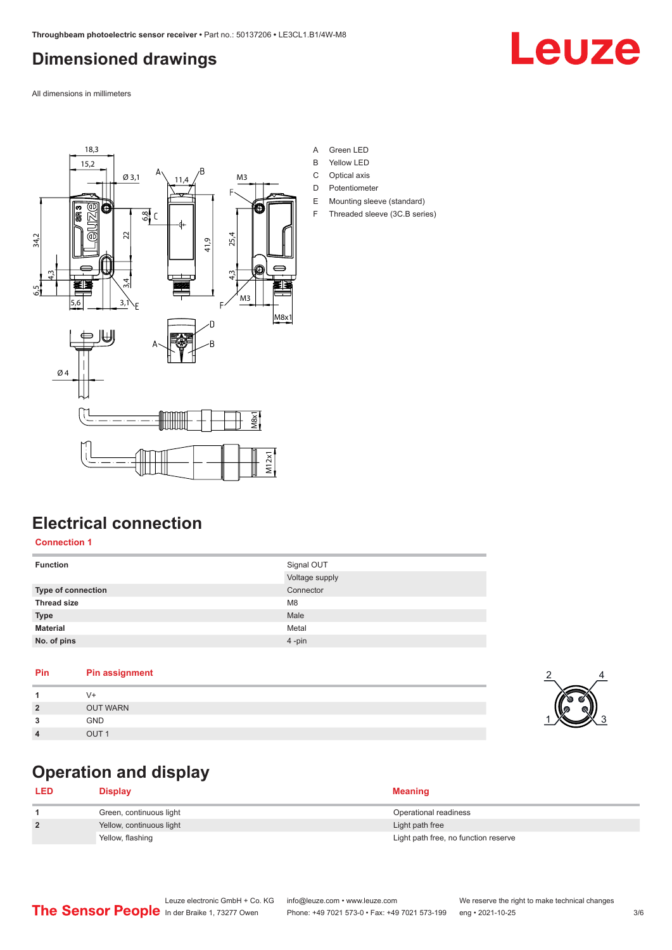## <span id="page-2-0"></span>**Dimensioned drawings**

Leuze

All dimensions in millimeters



- B Yellow LED
- C Optical axis
- D Potentiometer
- E Mounting sleeve (standard)
- F Threaded sleeve (3C.B series)

## **Electrical connection**

### **Connection 1**

| <b>Function</b>    | Signal OUT     |
|--------------------|----------------|
|                    | Voltage supply |
| Type of connection | Connector      |
| <b>Thread size</b> | M <sub>8</sub> |
| <b>Type</b>        | Male           |
| <b>Material</b>    | Metal          |
| No. of pins        | 4-pin          |

### **Pin Pin assignment**

|                | $\sqrt{+}$       |
|----------------|------------------|
| $\overline{2}$ | <b>OUT WARN</b>  |
| ໍາ             | <b>GND</b>       |
| $\Delta$       | OUT <sub>1</sub> |

## **Operation and display**

| <b>LED</b>   | Displav                  | <b>Meaning</b>                       |
|--------------|--------------------------|--------------------------------------|
|              | Green, continuous light  | Operational readiness                |
| $\mathbf{2}$ | Yellow, continuous light | Light path free                      |
|              | Yellow, flashing         | Light path free, no function reserve |

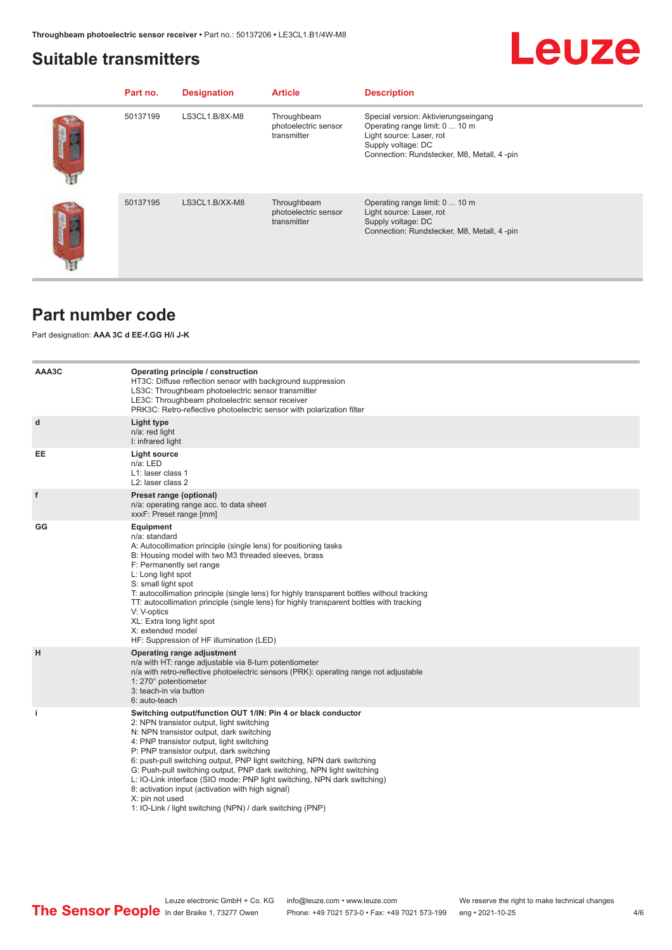### <span id="page-3-0"></span>**Suita**

| beam photoelectric sensor receiver • Part no.: 50137206 • LE3CL1.B1/4W-M8<br>able transmitters |          |                    | Leuze                                              |                                                                                                                                                                         |  |
|------------------------------------------------------------------------------------------------|----------|--------------------|----------------------------------------------------|-------------------------------------------------------------------------------------------------------------------------------------------------------------------------|--|
|                                                                                                | Part no. | <b>Designation</b> | <b>Article</b>                                     | <b>Description</b>                                                                                                                                                      |  |
| İ                                                                                              | 50137199 | LS3CL1.B/8X-M8     | Throughbeam<br>photoelectric sensor<br>transmitter | Special version: Aktivierungseingang<br>Operating range limit: 0  10 m<br>Light source: Laser, rot<br>Supply voltage: DC<br>Connection: Rundstecker, M8, Metall, 4 -pin |  |
| <b>Bull</b>                                                                                    | 50137195 | LS3CL1.B/XX-M8     | Throughbeam<br>photoelectric sensor<br>transmitter | Operating range limit: 0  10 m<br>Light source: Laser, rot<br>Supply voltage: DC<br>Connection: Rundstecker, M8, Metall, 4 -pin                                         |  |

## **Part number code**

Part designation: **AAA 3C d EE-f.GG H/i J-K**

| AAA3C | Operating principle / construction<br>HT3C: Diffuse reflection sensor with background suppression<br>LS3C: Throughbeam photoelectric sensor transmitter<br>LE3C: Throughbeam photoelectric sensor receiver<br>PRK3C: Retro-reflective photoelectric sensor with polarization filter                                                                                                                                                                                                                                                                                                                                 |
|-------|---------------------------------------------------------------------------------------------------------------------------------------------------------------------------------------------------------------------------------------------------------------------------------------------------------------------------------------------------------------------------------------------------------------------------------------------------------------------------------------------------------------------------------------------------------------------------------------------------------------------|
| d     | Light type<br>n/a: red light<br>I: infrared light                                                                                                                                                                                                                                                                                                                                                                                                                                                                                                                                                                   |
| EE    | Light source<br>n/a: LED<br>L1: laser class 1<br>L <sub>2</sub> : laser class 2                                                                                                                                                                                                                                                                                                                                                                                                                                                                                                                                     |
| f     | Preset range (optional)<br>n/a: operating range acc. to data sheet<br>xxxF: Preset range [mm]                                                                                                                                                                                                                                                                                                                                                                                                                                                                                                                       |
| GG    | Equipment<br>n/a: standard<br>A: Autocollimation principle (single lens) for positioning tasks<br>B: Housing model with two M3 threaded sleeves, brass<br>F: Permanently set range<br>L: Long light spot<br>S: small light spot<br>T: autocollimation principle (single lens) for highly transparent bottles without tracking<br>TT: autocollimation principle (single lens) for highly transparent bottles with tracking<br>V: V-optics<br>XL: Extra long light spot<br>X: extended model<br>HF: Suppression of HF illumination (LED)                                                                              |
| H     | Operating range adjustment<br>n/a with HT: range adjustable via 8-turn potentiometer<br>n/a with retro-reflective photoelectric sensors (PRK): operating range not adjustable<br>1: 270° potentiometer<br>3: teach-in via button<br>6: auto-teach                                                                                                                                                                                                                                                                                                                                                                   |
| j.    | Switching output/function OUT 1/IN: Pin 4 or black conductor<br>2: NPN transistor output, light switching<br>N: NPN transistor output, dark switching<br>4: PNP transistor output, light switching<br>P: PNP transistor output, dark switching<br>6: push-pull switching output, PNP light switching, NPN dark switching<br>G: Push-pull switching output, PNP dark switching, NPN light switching<br>L: IO-Link interface (SIO mode: PNP light switching, NPN dark switching)<br>8: activation input (activation with high signal)<br>X: pin not used<br>1: IO-Link / light switching (NPN) / dark switching (PNP) |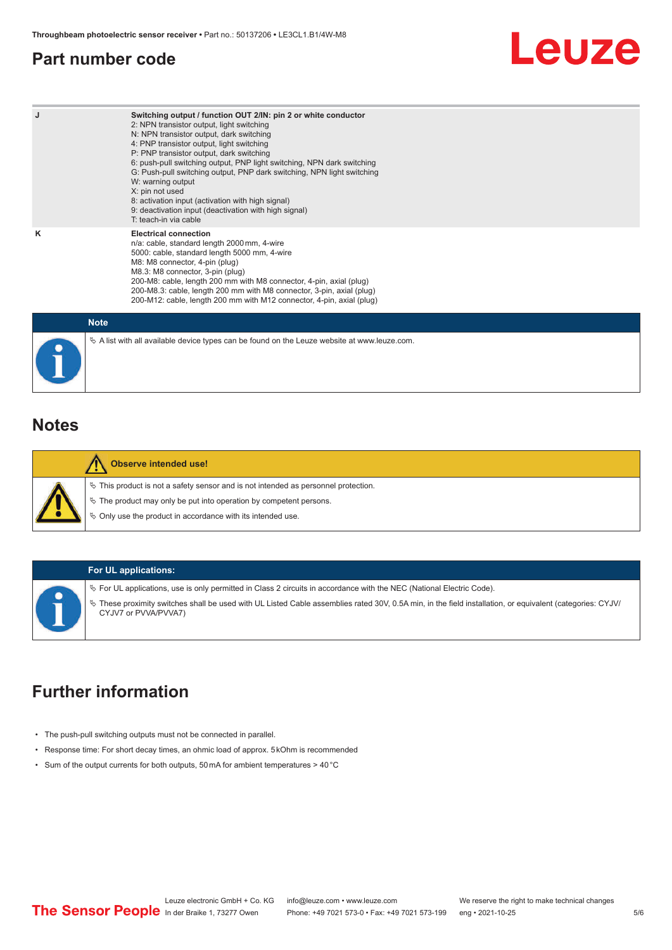### <span id="page-4-0"></span>**Part number code**

# Leuze

|      | Switching output / function OUT 2/IN: pin 2 or white conductor<br>2: NPN transistor output, light switching<br>N: NPN transistor output, dark switching<br>4: PNP transistor output, light switching<br>P: PNP transistor output, dark switching<br>6: push-pull switching output, PNP light switching, NPN dark switching<br>G: Push-pull switching output, PNP dark switching, NPN light switching<br>W: warning output<br>X: pin not used<br>8: activation input (activation with high signal)<br>9: deactivation input (deactivation with high signal)<br>T: teach-in via cable |
|------|-------------------------------------------------------------------------------------------------------------------------------------------------------------------------------------------------------------------------------------------------------------------------------------------------------------------------------------------------------------------------------------------------------------------------------------------------------------------------------------------------------------------------------------------------------------------------------------|
| κ    | <b>Electrical connection</b><br>n/a: cable, standard length 2000 mm, 4-wire<br>5000: cable, standard length 5000 mm, 4-wire<br>M8: M8 connector, 4-pin (plug)<br>M8.3: M8 connector, 3-pin (plug)<br>200-M8: cable, length 200 mm with M8 connector, 4-pin, axial (plug)<br>200-M8.3: cable, length 200 mm with M8 connector, 3-pin, axial (plug)<br>200-M12: cable, length 200 mm with M12 connector, 4-pin, axial (plug)                                                                                                                                                          |
| Note |                                                                                                                                                                                                                                                                                                                                                                                                                                                                                                                                                                                     |

| <b>Note</b>                                                                                     |
|-------------------------------------------------------------------------------------------------|
| $\&$ A list with all available device types can be found on the Leuze website at www.leuze.com. |

## **Notes**

|  | Observe intended use!                                                                 |
|--|---------------------------------------------------------------------------------------|
|  | $\%$ This product is not a safety sensor and is not intended as personnel protection. |
|  | ₹ The product may only be put into operation by competent persons.                    |
|  | § Only use the product in accordance with its intended use.                           |
|  |                                                                                       |

### **For UL applications:**

ª For UL applications, use is only permitted in Class 2 circuits in accordance with the NEC (National Electric Code). ª These proximity switches shall be used with UL Listed Cable assemblies rated 30V, 0.5A min, in the field installation, or equivalent (categories: CYJV/ CYJV7 or PVVA/PVVA7)

## **Further information**

- The push-pull switching outputs must not be connected in parallel.
- Response time: For short decay times, an ohmic load of approx. 5 kOhm is recommended
- Sum of the output currents for both outputs, 50 mA for ambient temperatures > 40 °C